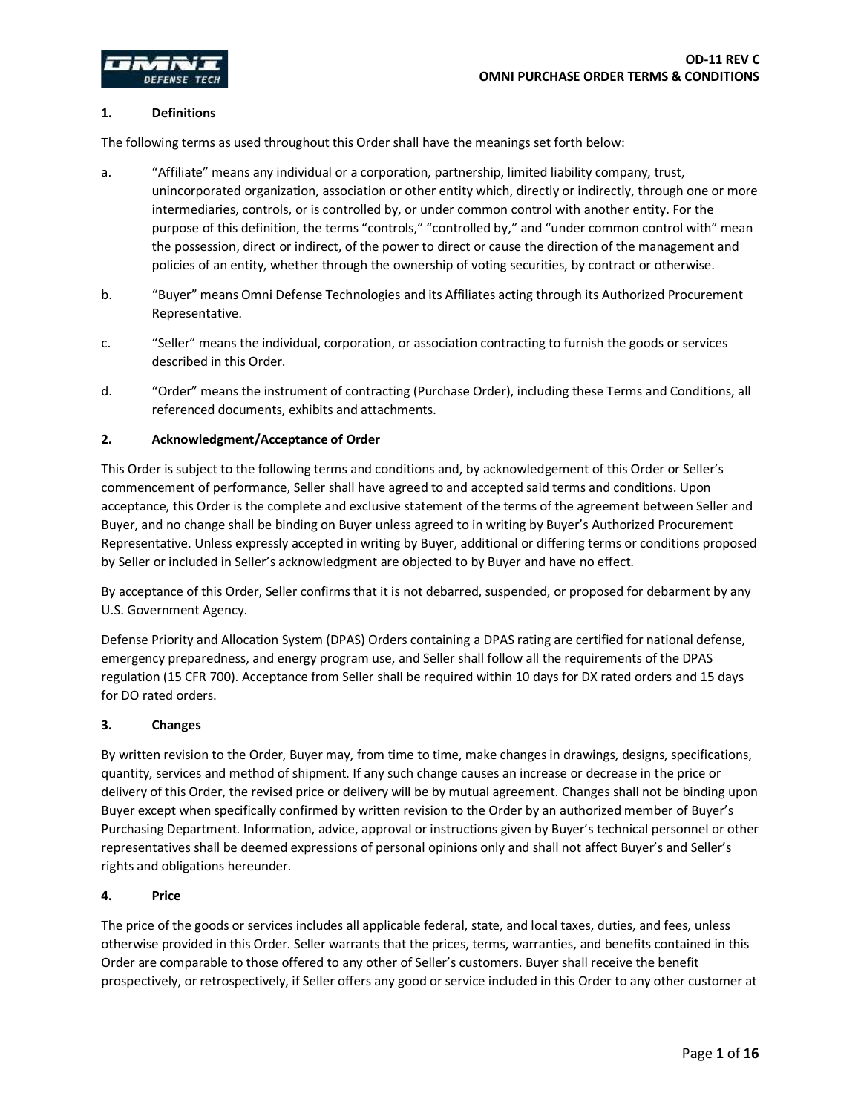

## **1. Definitions**

The following terms as used throughout this Order shall have the meanings set forth below:

- a. "Affiliate" means any individual or a corporation, partnership, limited liability company, trust, unincorporated organization, association or other entity which, directly or indirectly, through one or more intermediaries, controls, or is controlled by, or under common control with another entity. For the purpose of this definition, the terms "controls," "controlled by," and "under common control with" mean the possession, direct or indirect, of the power to direct or cause the direction of the management and policies of an entity, whether through the ownership of voting securities, by contract or otherwise.
- b. "Buyer" means Omni Defense Technologies and its Affiliates acting through its Authorized Procurement Representative.
- c. "Seller" means the individual, corporation, or association contracting to furnish the goods or services described in this Order.
- d. "Order" means the instrument of contracting (Purchase Order), including these Terms and Conditions, all referenced documents, exhibits and attachments.

## **2. Acknowledgment/Acceptance of Order**

This Order is subject to the following terms and conditions and, by acknowledgement of this Order or Seller's commencement of performance, Seller shall have agreed to and accepted said terms and conditions. Upon acceptance, this Order is the complete and exclusive statement of the terms of the agreement between Seller and Buyer, and no change shall be binding on Buyer unless agreed to in writing by Buyer's Authorized Procurement Representative. Unless expressly accepted in writing by Buyer, additional or differing terms or conditions proposed by Seller or included in Seller's acknowledgment are objected to by Buyer and have no effect.

By acceptance of this Order, Seller confirms that it is not debarred, suspended, or proposed for debarment by any U.S. Government Agency.

Defense Priority and Allocation System (DPAS) Orders containing a DPAS rating are certified for national defense, emergency preparedness, and energy program use, and Seller shall follow all the requirements of the DPAS regulation (15 CFR 700). Acceptance from Seller shall be required within 10 days for DX rated orders and 15 days for DO rated orders.

### **3. Changes**

By written revision to the Order, Buyer may, from time to time, make changes in drawings, designs, specifications, quantity, services and method of shipment. If any such change causes an increase or decrease in the price or delivery of this Order, the revised price or delivery will be by mutual agreement. Changes shall not be binding upon Buyer except when specifically confirmed by written revision to the Order by an authorized member of Buyer's Purchasing Department. Information, advice, approval or instructions given by Buyer's technical personnel or other representatives shall be deemed expressions of personal opinions only and shall not affect Buyer's and Seller's rights and obligations hereunder.

# **4. Price**

The price of the goods or services includes all applicable federal, state, and local taxes, duties, and fees, unless otherwise provided in this Order. Seller warrants that the prices, terms, warranties, and benefits contained in this Order are comparable to those offered to any other of Seller's customers. Buyer shall receive the benefit prospectively, or retrospectively, if Seller offers any good or service included in this Order to any other customer at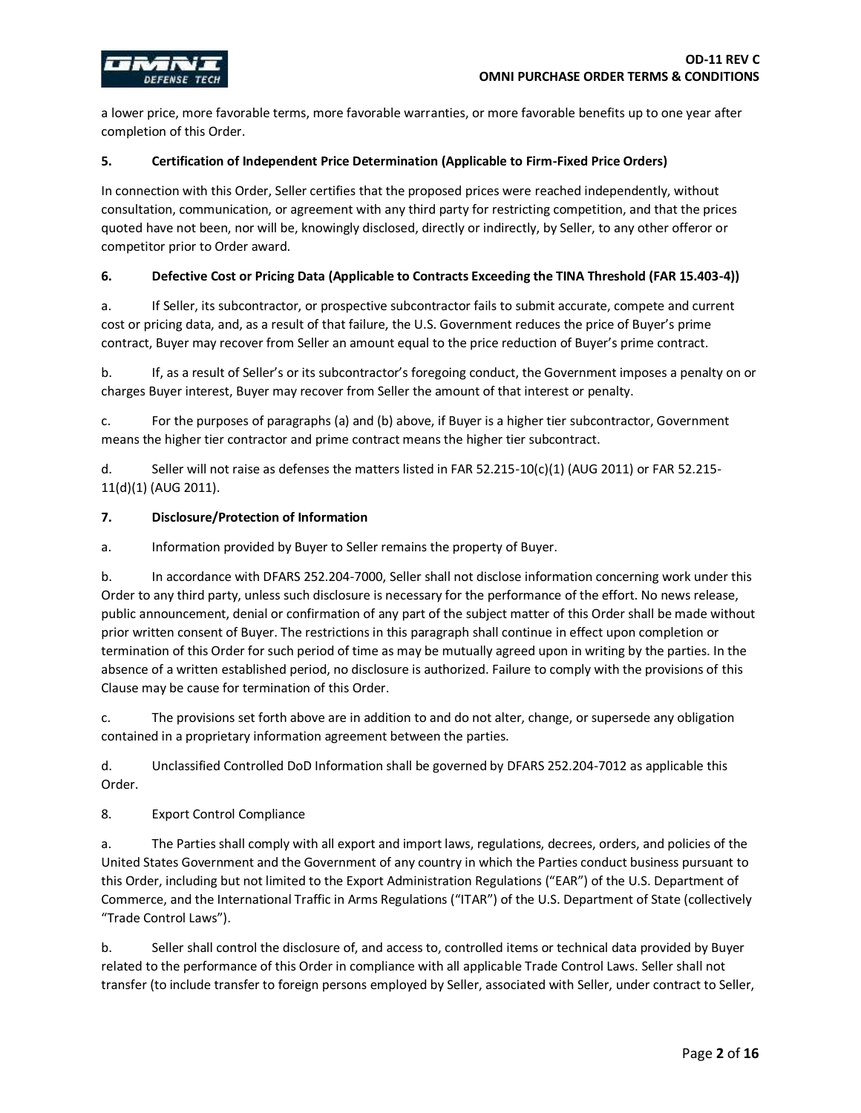

a lower price, more favorable terms, more favorable warranties, or more favorable benefits up to one year after completion of this Order.

#### **5. Certification of Independent Price Determination (Applicable to Firm-Fixed Price Orders)**

In connection with this Order, Seller certifies that the proposed prices were reached independently, without consultation, communication, or agreement with any third party for restricting competition, and that the prices quoted have not been, nor will be, knowingly disclosed, directly or indirectly, by Seller, to any other offeror or competitor prior to Order award.

#### **6. Defective Cost or Pricing Data (Applicable to Contracts Exceeding the TINA Threshold (FAR 15.403-4))**

a. If Seller, its subcontractor, or prospective subcontractor fails to submit accurate, compete and current cost or pricing data, and, as a result of that failure, the U.S. Government reduces the price of Buyer's prime contract, Buyer may recover from Seller an amount equal to the price reduction of Buyer's prime contract.

b. If, as a result of Seller's or its subcontractor's foregoing conduct, the Government imposes a penalty on or charges Buyer interest, Buyer may recover from Seller the amount of that interest or penalty.

c. For the purposes of paragraphs (a) and (b) above, if Buyer is a higher tier subcontractor, Government means the higher tier contractor and prime contract means the higher tier subcontract.

d. Seller will not raise as defenses the matters listed in FAR 52.215-10(c)(1) (AUG 2011) or FAR 52.215- 11(d)(1) (AUG 2011).

#### **7. Disclosure/Protection of Information**

a. Information provided by Buyer to Seller remains the property of Buyer.

b. In accordance with DFARS 252.204-7000, Seller shall not disclose information concerning work under this Order to any third party, unless such disclosure is necessary for the performance of the effort. No news release, public announcement, denial or confirmation of any part of the subject matter of this Order shall be made without prior written consent of Buyer. The restrictions in this paragraph shall continue in effect upon completion or termination of this Order for such period of time as may be mutually agreed upon in writing by the parties. In the absence of a written established period, no disclosure is authorized. Failure to comply with the provisions of this Clause may be cause for termination of this Order.

c. The provisions set forth above are in addition to and do not alter, change, or supersede any obligation contained in a proprietary information agreement between the parties.

d. Unclassified Controlled DoD Information shall be governed by DFARS 252.204-7012 as applicable this Order.

8. Export Control Compliance

a. The Parties shall comply with all export and import laws, regulations, decrees, orders, and policies of the United States Government and the Government of any country in which the Parties conduct business pursuant to this Order, including but not limited to the Export Administration Regulations ("EAR") of the U.S. Department of Commerce, and the International Traffic in Arms Regulations ("ITAR") of the U.S. Department of State (collectively "Trade Control Laws").

b. Seller shall control the disclosure of, and access to, controlled items or technical data provided by Buyer related to the performance of this Order in compliance with all applicable Trade Control Laws. Seller shall not transfer (to include transfer to foreign persons employed by Seller, associated with Seller, under contract to Seller,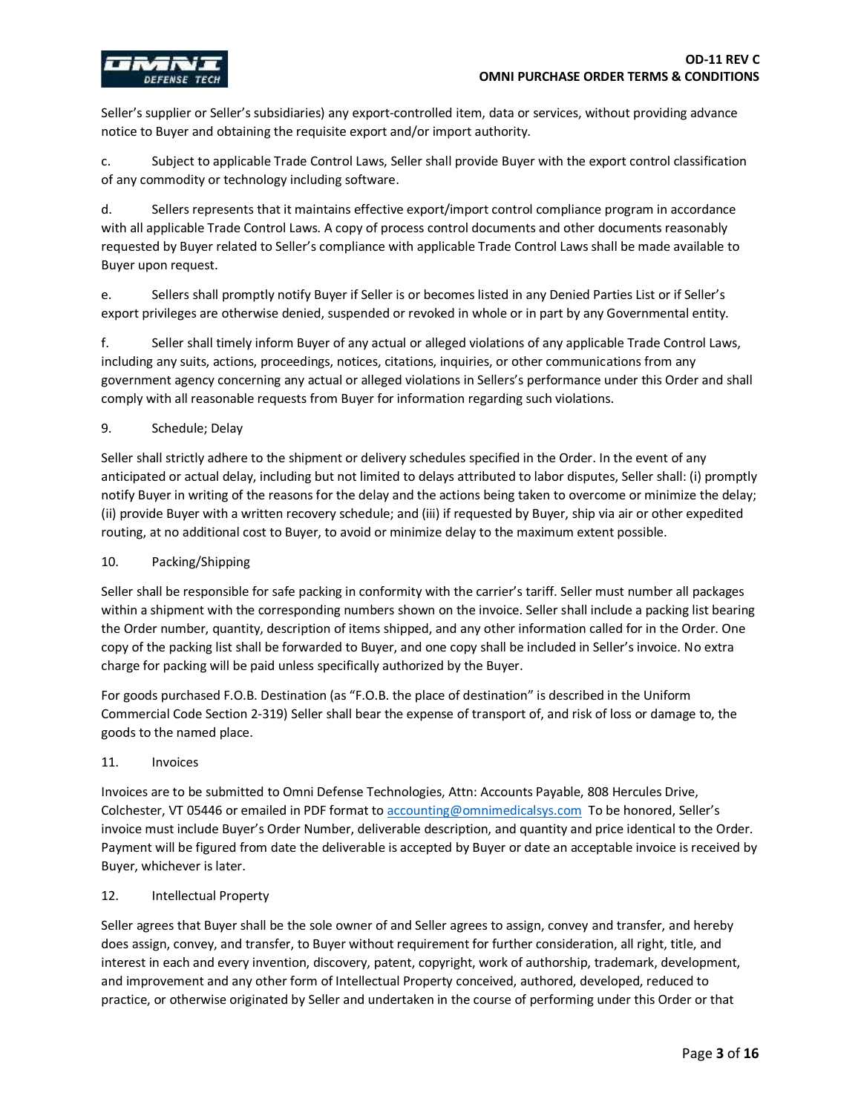

Seller's supplier or Seller's subsidiaries) any export-controlled item, data or services, without providing advance notice to Buyer and obtaining the requisite export and/or import authority.

c. Subject to applicable Trade Control Laws, Seller shall provide Buyer with the export control classification of any commodity or technology including software.

d. Sellers represents that it maintains effective export/import control compliance program in accordance with all applicable Trade Control Laws. A copy of process control documents and other documents reasonably requested by Buyer related to Seller's compliance with applicable Trade Control Laws shall be made available to Buyer upon request.

e. Sellers shall promptly notify Buyer if Seller is or becomes listed in any Denied Parties List or if Seller's export privileges are otherwise denied, suspended or revoked in whole or in part by any Governmental entity.

f. Seller shall timely inform Buyer of any actual or alleged violations of any applicable Trade Control Laws, including any suits, actions, proceedings, notices, citations, inquiries, or other communications from any government agency concerning any actual or alleged violations in Sellers's performance under this Order and shall comply with all reasonable requests from Buyer for information regarding such violations.

## 9. Schedule; Delay

Seller shall strictly adhere to the shipment or delivery schedules specified in the Order. In the event of any anticipated or actual delay, including but not limited to delays attributed to labor disputes, Seller shall: (i) promptly notify Buyer in writing of the reasons for the delay and the actions being taken to overcome or minimize the delay; (ii) provide Buyer with a written recovery schedule; and (iii) if requested by Buyer, ship via air or other expedited routing, at no additional cost to Buyer, to avoid or minimize delay to the maximum extent possible.

### 10. Packing/Shipping

Seller shall be responsible for safe packing in conformity with the carrier's tariff. Seller must number all packages within a shipment with the corresponding numbers shown on the invoice. Seller shall include a packing list bearing the Order number, quantity, description of items shipped, and any other information called for in the Order. One copy of the packing list shall be forwarded to Buyer, and one copy shall be included in Seller's invoice. No extra charge for packing will be paid unless specifically authorized by the Buyer.

For goods purchased F.O.B. Destination (as "F.O.B. the place of destination" is described in the Uniform Commercial Code Section 2-319) Seller shall bear the expense of transport of, and risk of loss or damage to, the goods to the named place.

### 11. Invoices

Invoices are to be submitted to Omni Defense Technologies, Attn: Accounts Payable, 808 Hercules Drive, Colchester, VT 05446 or emailed in PDF format t[o accounting@omnimedicalsys.com](mailto:accounting@omnimedicalsys.com) To be honored, Seller's invoice must include Buyer's Order Number, deliverable description, and quantity and price identical to the Order. Payment will be figured from date the deliverable is accepted by Buyer or date an acceptable invoice is received by Buyer, whichever is later.

## 12. Intellectual Property

Seller agrees that Buyer shall be the sole owner of and Seller agrees to assign, convey and transfer, and hereby does assign, convey, and transfer, to Buyer without requirement for further consideration, all right, title, and interest in each and every invention, discovery, patent, copyright, work of authorship, trademark, development, and improvement and any other form of Intellectual Property conceived, authored, developed, reduced to practice, or otherwise originated by Seller and undertaken in the course of performing under this Order or that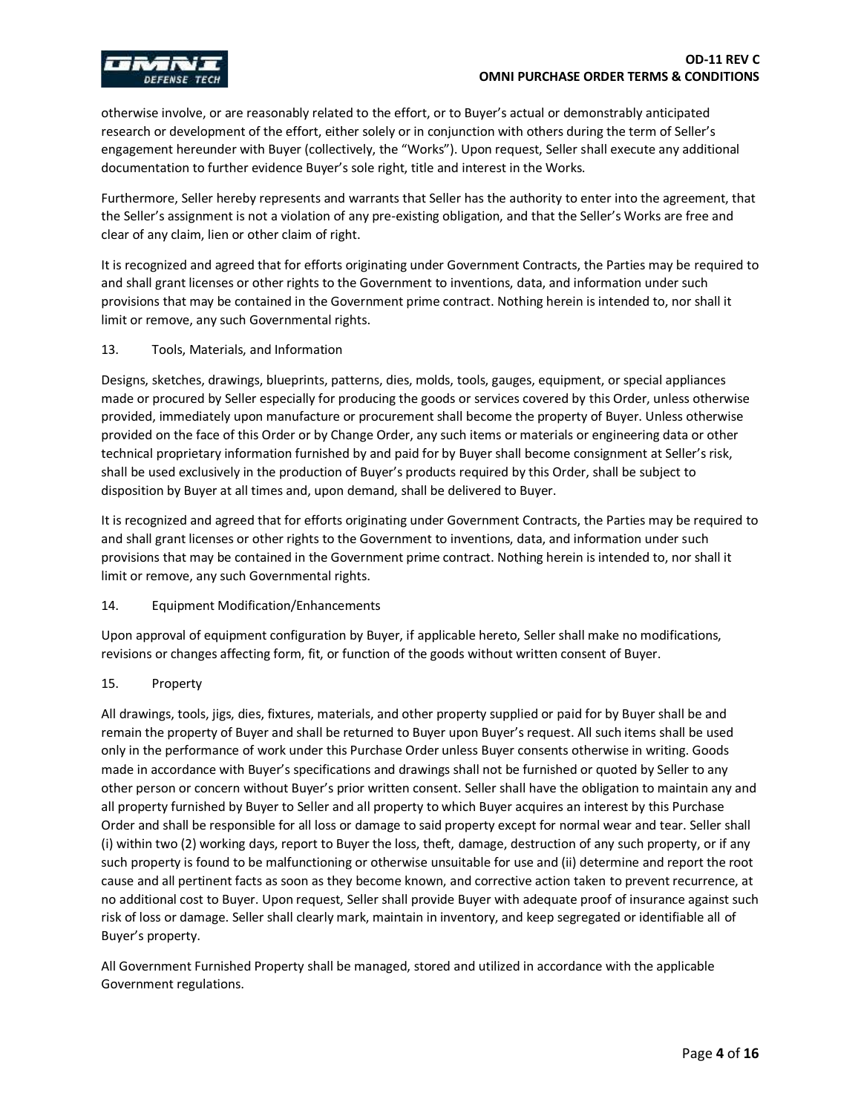

otherwise involve, or are reasonably related to the effort, or to Buyer's actual or demonstrably anticipated research or development of the effort, either solely or in conjunction with others during the term of Seller's engagement hereunder with Buyer (collectively, the "Works"). Upon request, Seller shall execute any additional documentation to further evidence Buyer's sole right, title and interest in the Works.

Furthermore, Seller hereby represents and warrants that Seller has the authority to enter into the agreement, that the Seller's assignment is not a violation of any pre-existing obligation, and that the Seller's Works are free and clear of any claim, lien or other claim of right.

It is recognized and agreed that for efforts originating under Government Contracts, the Parties may be required to and shall grant licenses or other rights to the Government to inventions, data, and information under such provisions that may be contained in the Government prime contract. Nothing herein is intended to, nor shall it limit or remove, any such Governmental rights.

#### 13. Tools, Materials, and Information

Designs, sketches, drawings, blueprints, patterns, dies, molds, tools, gauges, equipment, or special appliances made or procured by Seller especially for producing the goods or services covered by this Order, unless otherwise provided, immediately upon manufacture or procurement shall become the property of Buyer. Unless otherwise provided on the face of this Order or by Change Order, any such items or materials or engineering data or other technical proprietary information furnished by and paid for by Buyer shall become consignment at Seller's risk, shall be used exclusively in the production of Buyer's products required by this Order, shall be subject to disposition by Buyer at all times and, upon demand, shall be delivered to Buyer.

It is recognized and agreed that for efforts originating under Government Contracts, the Parties may be required to and shall grant licenses or other rights to the Government to inventions, data, and information under such provisions that may be contained in the Government prime contract. Nothing herein is intended to, nor shall it limit or remove, any such Governmental rights.

### 14. Equipment Modification/Enhancements

Upon approval of equipment configuration by Buyer, if applicable hereto, Seller shall make no modifications, revisions or changes affecting form, fit, or function of the goods without written consent of Buyer.

### 15. Property

All drawings, tools, jigs, dies, fixtures, materials, and other property supplied or paid for by Buyer shall be and remain the property of Buyer and shall be returned to Buyer upon Buyer's request. All such items shall be used only in the performance of work under this Purchase Order unless Buyer consents otherwise in writing. Goods made in accordance with Buyer's specifications and drawings shall not be furnished or quoted by Seller to any other person or concern without Buyer's prior written consent. Seller shall have the obligation to maintain any and all property furnished by Buyer to Seller and all property to which Buyer acquires an interest by this Purchase Order and shall be responsible for all loss or damage to said property except for normal wear and tear. Seller shall (i) within two (2) working days, report to Buyer the loss, theft, damage, destruction of any such property, or if any such property is found to be malfunctioning or otherwise unsuitable for use and (ii) determine and report the root cause and all pertinent facts as soon as they become known, and corrective action taken to prevent recurrence, at no additional cost to Buyer. Upon request, Seller shall provide Buyer with adequate proof of insurance against such risk of loss or damage. Seller shall clearly mark, maintain in inventory, and keep segregated or identifiable all of Buyer's property.

All Government Furnished Property shall be managed, stored and utilized in accordance with the applicable Government regulations.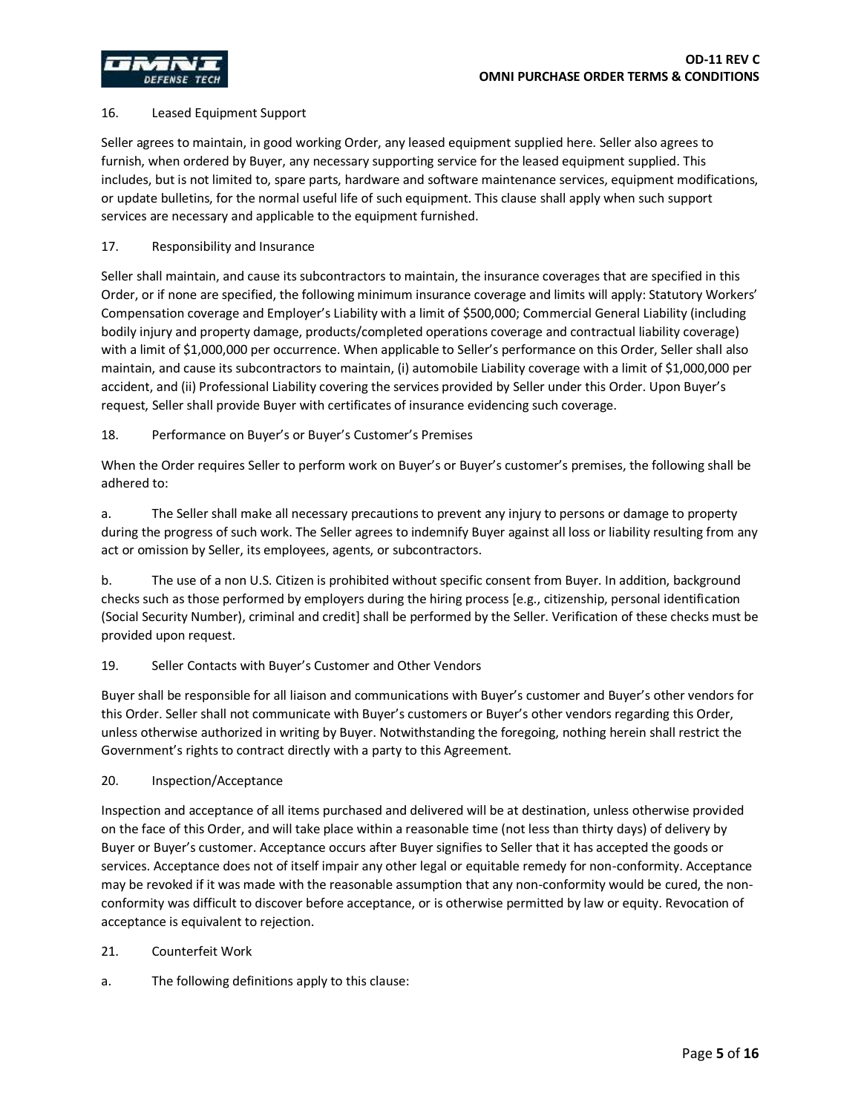### 16. Leased Equipment Support

Seller agrees to maintain, in good working Order, any leased equipment supplied here. Seller also agrees to furnish, when ordered by Buyer, any necessary supporting service for the leased equipment supplied. This includes, but is not limited to, spare parts, hardware and software maintenance services, equipment modifications, or update bulletins, for the normal useful life of such equipment. This clause shall apply when such support services are necessary and applicable to the equipment furnished.

## 17. Responsibility and Insurance

Seller shall maintain, and cause its subcontractors to maintain, the insurance coverages that are specified in this Order, or if none are specified, the following minimum insurance coverage and limits will apply: Statutory Workers' Compensation coverage and Employer's Liability with a limit of \$500,000; Commercial General Liability (including bodily injury and property damage, products/completed operations coverage and contractual liability coverage) with a limit of \$1,000,000 per occurrence. When applicable to Seller's performance on this Order, Seller shall also maintain, and cause its subcontractors to maintain, (i) automobile Liability coverage with a limit of \$1,000,000 per accident, and (ii) Professional Liability covering the services provided by Seller under this Order. Upon Buyer's request, Seller shall provide Buyer with certificates of insurance evidencing such coverage.

## 18. Performance on Buyer's or Buyer's Customer's Premises

When the Order requires Seller to perform work on Buyer's or Buyer's customer's premises, the following shall be adhered to:

a. The Seller shall make all necessary precautions to prevent any injury to persons or damage to property during the progress of such work. The Seller agrees to indemnify Buyer against all loss or liability resulting from any act or omission by Seller, its employees, agents, or subcontractors.

b. The use of a non U.S. Citizen is prohibited without specific consent from Buyer. In addition, background checks such as those performed by employers during the hiring process [e.g., citizenship, personal identification (Social Security Number), criminal and credit] shall be performed by the Seller. Verification of these checks must be provided upon request.

### 19. Seller Contacts with Buyer's Customer and Other Vendors

Buyer shall be responsible for all liaison and communications with Buyer's customer and Buyer's other vendors for this Order. Seller shall not communicate with Buyer's customers or Buyer's other vendors regarding this Order, unless otherwise authorized in writing by Buyer. Notwithstanding the foregoing, nothing herein shall restrict the Government's rights to contract directly with a party to this Agreement.

### 20. Inspection/Acceptance

Inspection and acceptance of all items purchased and delivered will be at destination, unless otherwise provided on the face of this Order, and will take place within a reasonable time (not less than thirty days) of delivery by Buyer or Buyer's customer. Acceptance occurs after Buyer signifies to Seller that it has accepted the goods or services. Acceptance does not of itself impair any other legal or equitable remedy for non-conformity. Acceptance may be revoked if it was made with the reasonable assumption that any non-conformity would be cured, the nonconformity was difficult to discover before acceptance, or is otherwise permitted by law or equity. Revocation of acceptance is equivalent to rejection.

### 21. Counterfeit Work

a. The following definitions apply to this clause: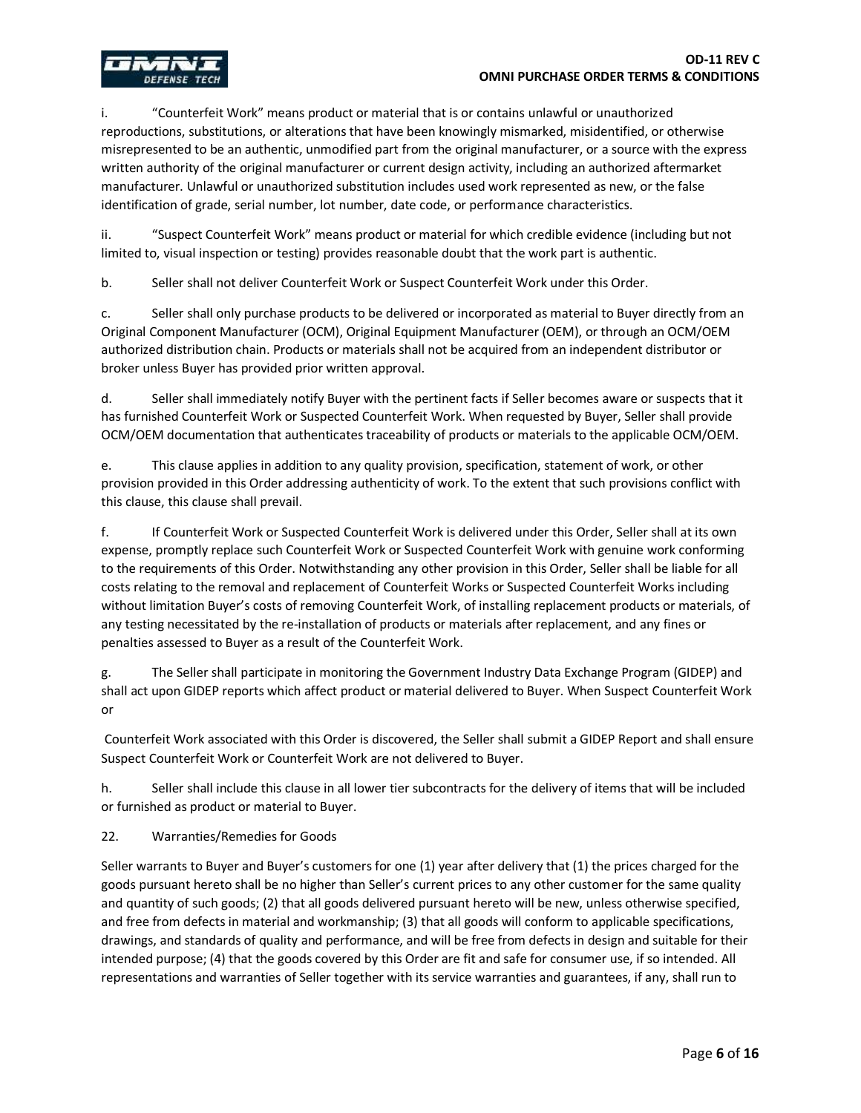

i. "Counterfeit Work" means product or material that is or contains unlawful or unauthorized reproductions, substitutions, or alterations that have been knowingly mismarked, misidentified, or otherwise misrepresented to be an authentic, unmodified part from the original manufacturer, or a source with the express written authority of the original manufacturer or current design activity, including an authorized aftermarket manufacturer. Unlawful or unauthorized substitution includes used work represented as new, or the false identification of grade, serial number, lot number, date code, or performance characteristics.

ii. "Suspect Counterfeit Work" means product or material for which credible evidence (including but not limited to, visual inspection or testing) provides reasonable doubt that the work part is authentic.

b. Seller shall not deliver Counterfeit Work or Suspect Counterfeit Work under this Order.

c. Seller shall only purchase products to be delivered or incorporated as material to Buyer directly from an Original Component Manufacturer (OCM), Original Equipment Manufacturer (OEM), or through an OCM/OEM authorized distribution chain. Products or materials shall not be acquired from an independent distributor or broker unless Buyer has provided prior written approval.

d. Seller shall immediately notify Buyer with the pertinent facts if Seller becomes aware or suspects that it has furnished Counterfeit Work or Suspected Counterfeit Work. When requested by Buyer, Seller shall provide OCM/OEM documentation that authenticates traceability of products or materials to the applicable OCM/OEM.

e. This clause applies in addition to any quality provision, specification, statement of work, or other provision provided in this Order addressing authenticity of work. To the extent that such provisions conflict with this clause, this clause shall prevail.

f. If Counterfeit Work or Suspected Counterfeit Work is delivered under this Order, Seller shall at its own expense, promptly replace such Counterfeit Work or Suspected Counterfeit Work with genuine work conforming to the requirements of this Order. Notwithstanding any other provision in this Order, Seller shall be liable for all costs relating to the removal and replacement of Counterfeit Works or Suspected Counterfeit Works including without limitation Buyer's costs of removing Counterfeit Work, of installing replacement products or materials, of any testing necessitated by the re-installation of products or materials after replacement, and any fines or penalties assessed to Buyer as a result of the Counterfeit Work.

g. The Seller shall participate in monitoring the Government Industry Data Exchange Program (GIDEP) and shall act upon GIDEP reports which affect product or material delivered to Buyer. When Suspect Counterfeit Work or

Counterfeit Work associated with this Order is discovered, the Seller shall submit a GIDEP Report and shall ensure Suspect Counterfeit Work or Counterfeit Work are not delivered to Buyer.

h. Seller shall include this clause in all lower tier subcontracts for the delivery of items that will be included or furnished as product or material to Buyer.

22. Warranties/Remedies for Goods

Seller warrants to Buyer and Buyer's customers for one (1) year after delivery that (1) the prices charged for the goods pursuant hereto shall be no higher than Seller's current prices to any other customer for the same quality and quantity of such goods; (2) that all goods delivered pursuant hereto will be new, unless otherwise specified, and free from defects in material and workmanship; (3) that all goods will conform to applicable specifications, drawings, and standards of quality and performance, and will be free from defects in design and suitable for their intended purpose; (4) that the goods covered by this Order are fit and safe for consumer use, if so intended. All representations and warranties of Seller together with its service warranties and guarantees, if any, shall run to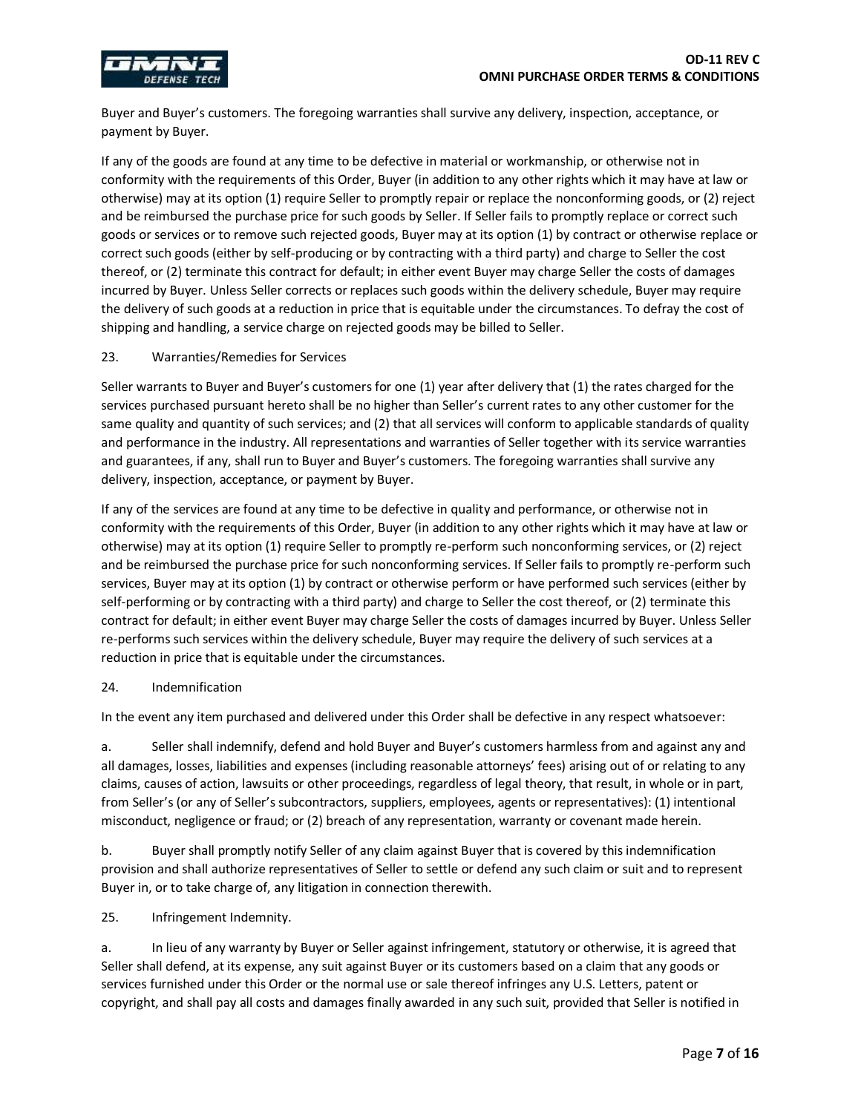

Buyer and Buyer's customers. The foregoing warranties shall survive any delivery, inspection, acceptance, or payment by Buyer.

If any of the goods are found at any time to be defective in material or workmanship, or otherwise not in conformity with the requirements of this Order, Buyer (in addition to any other rights which it may have at law or otherwise) may at its option (1) require Seller to promptly repair or replace the nonconforming goods, or (2) reject and be reimbursed the purchase price for such goods by Seller. If Seller fails to promptly replace or correct such goods or services or to remove such rejected goods, Buyer may at its option (1) by contract or otherwise replace or correct such goods (either by self-producing or by contracting with a third party) and charge to Seller the cost thereof, or (2) terminate this contract for default; in either event Buyer may charge Seller the costs of damages incurred by Buyer. Unless Seller corrects or replaces such goods within the delivery schedule, Buyer may require the delivery of such goods at a reduction in price that is equitable under the circumstances. To defray the cost of shipping and handling, a service charge on rejected goods may be billed to Seller.

## 23. Warranties/Remedies for Services

Seller warrants to Buyer and Buyer's customers for one (1) year after delivery that (1) the rates charged for the services purchased pursuant hereto shall be no higher than Seller's current rates to any other customer for the same quality and quantity of such services; and (2) that all services will conform to applicable standards of quality and performance in the industry. All representations and warranties of Seller together with its service warranties and guarantees, if any, shall run to Buyer and Buyer's customers. The foregoing warranties shall survive any delivery, inspection, acceptance, or payment by Buyer.

If any of the services are found at any time to be defective in quality and performance, or otherwise not in conformity with the requirements of this Order, Buyer (in addition to any other rights which it may have at law or otherwise) may at its option (1) require Seller to promptly re-perform such nonconforming services, or (2) reject and be reimbursed the purchase price for such nonconforming services. If Seller fails to promptly re-perform such services, Buyer may at its option (1) by contract or otherwise perform or have performed such services (either by self-performing or by contracting with a third party) and charge to Seller the cost thereof, or (2) terminate this contract for default; in either event Buyer may charge Seller the costs of damages incurred by Buyer. Unless Seller re-performs such services within the delivery schedule, Buyer may require the delivery of such services at a reduction in price that is equitable under the circumstances.

### 24. Indemnification

In the event any item purchased and delivered under this Order shall be defective in any respect whatsoever:

a. Seller shall indemnify, defend and hold Buyer and Buyer's customers harmless from and against any and all damages, losses, liabilities and expenses (including reasonable attorneys' fees) arising out of or relating to any claims, causes of action, lawsuits or other proceedings, regardless of legal theory, that result, in whole or in part, from Seller's (or any of Seller's subcontractors, suppliers, employees, agents or representatives): (1) intentional misconduct, negligence or fraud; or (2) breach of any representation, warranty or covenant made herein.

b. Buyer shall promptly notify Seller of any claim against Buyer that is covered by this indemnification provision and shall authorize representatives of Seller to settle or defend any such claim or suit and to represent Buyer in, or to take charge of, any litigation in connection therewith.

25. Infringement Indemnity.

a. In lieu of any warranty by Buyer or Seller against infringement, statutory or otherwise, it is agreed that Seller shall defend, at its expense, any suit against Buyer or its customers based on a claim that any goods or services furnished under this Order or the normal use or sale thereof infringes any U.S. Letters, patent or copyright, and shall pay all costs and damages finally awarded in any such suit, provided that Seller is notified in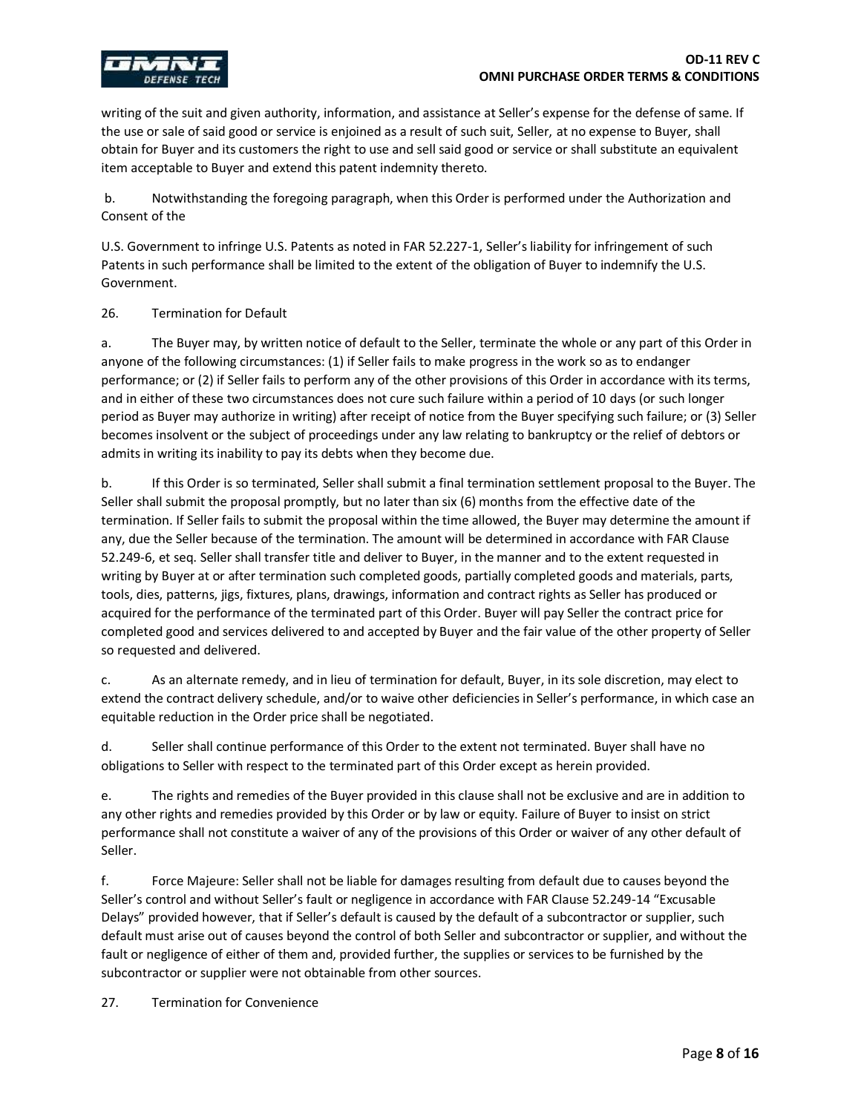

writing of the suit and given authority, information, and assistance at Seller's expense for the defense of same. If the use or sale of said good or service is enjoined as a result of such suit, Seller, at no expense to Buyer, shall obtain for Buyer and its customers the right to use and sell said good or service or shall substitute an equivalent item acceptable to Buyer and extend this patent indemnity thereto.

b. Notwithstanding the foregoing paragraph, when this Order is performed under the Authorization and Consent of the

U.S. Government to infringe U.S. Patents as noted in FAR 52.227-1, Seller's liability for infringement of such Patents in such performance shall be limited to the extent of the obligation of Buyer to indemnify the U.S. Government.

## 26. Termination for Default

a. The Buyer may, by written notice of default to the Seller, terminate the whole or any part of this Order in anyone of the following circumstances: (1) if Seller fails to make progress in the work so as to endanger performance; or (2) if Seller fails to perform any of the other provisions of this Order in accordance with its terms, and in either of these two circumstances does not cure such failure within a period of 10 days (or such longer period as Buyer may authorize in writing) after receipt of notice from the Buyer specifying such failure; or (3) Seller becomes insolvent or the subject of proceedings under any law relating to bankruptcy or the relief of debtors or admits in writing its inability to pay its debts when they become due.

b. If this Order is so terminated, Seller shall submit a final termination settlement proposal to the Buyer. The Seller shall submit the proposal promptly, but no later than six (6) months from the effective date of the termination. If Seller fails to submit the proposal within the time allowed, the Buyer may determine the amount if any, due the Seller because of the termination. The amount will be determined in accordance with FAR Clause 52.249-6, et seq. Seller shall transfer title and deliver to Buyer, in the manner and to the extent requested in writing by Buyer at or after termination such completed goods, partially completed goods and materials, parts, tools, dies, patterns, jigs, fixtures, plans, drawings, information and contract rights as Seller has produced or acquired for the performance of the terminated part of this Order. Buyer will pay Seller the contract price for completed good and services delivered to and accepted by Buyer and the fair value of the other property of Seller so requested and delivered.

c. As an alternate remedy, and in lieu of termination for default, Buyer, in its sole discretion, may elect to extend the contract delivery schedule, and/or to waive other deficiencies in Seller's performance, in which case an equitable reduction in the Order price shall be negotiated.

d. Seller shall continue performance of this Order to the extent not terminated. Buyer shall have no obligations to Seller with respect to the terminated part of this Order except as herein provided.

e. The rights and remedies of the Buyer provided in this clause shall not be exclusive and are in addition to any other rights and remedies provided by this Order or by law or equity. Failure of Buyer to insist on strict performance shall not constitute a waiver of any of the provisions of this Order or waiver of any other default of Seller.

f. Force Majeure: Seller shall not be liable for damages resulting from default due to causes beyond the Seller's control and without Seller's fault or negligence in accordance with FAR Clause 52.249-14 "Excusable Delays" provided however, that if Seller's default is caused by the default of a subcontractor or supplier, such default must arise out of causes beyond the control of both Seller and subcontractor or supplier, and without the fault or negligence of either of them and, provided further, the supplies or services to be furnished by the subcontractor or supplier were not obtainable from other sources.

27. Termination for Convenience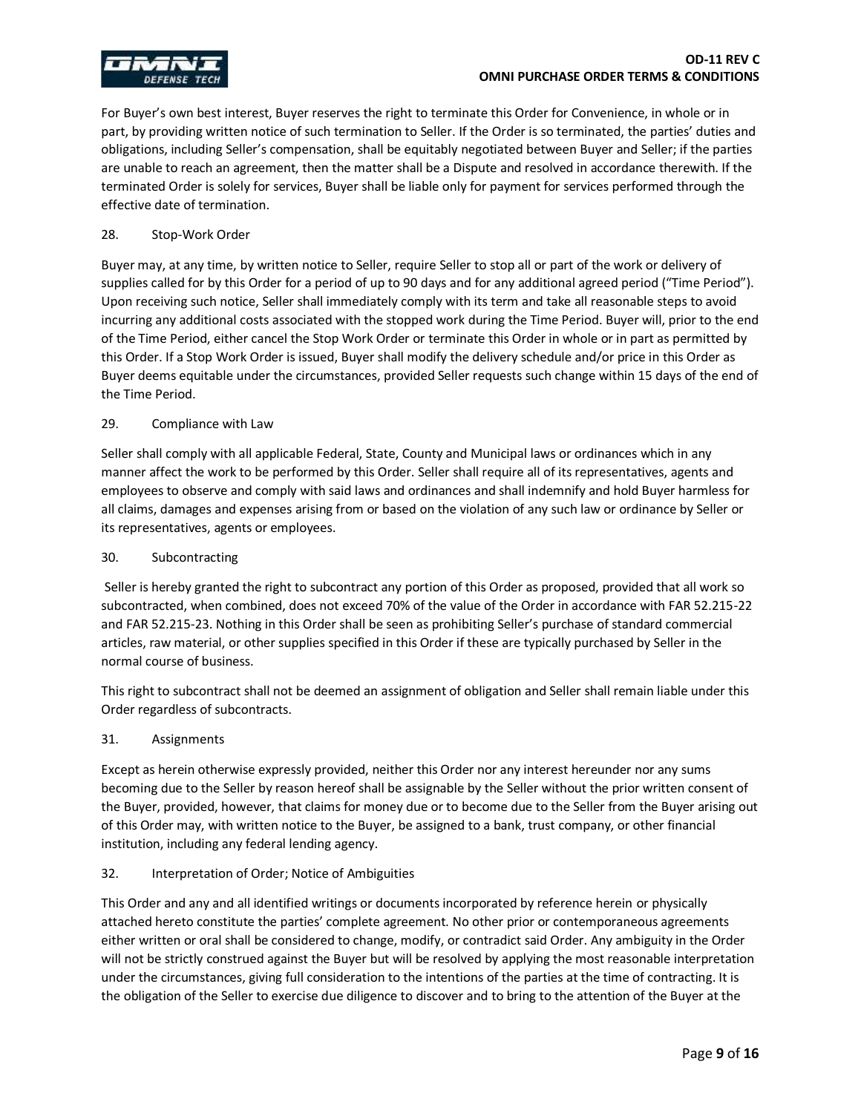

For Buyer's own best interest, Buyer reserves the right to terminate this Order for Convenience, in whole or in part, by providing written notice of such termination to Seller. If the Order is so terminated, the parties' duties and obligations, including Seller's compensation, shall be equitably negotiated between Buyer and Seller; if the parties are unable to reach an agreement, then the matter shall be a Dispute and resolved in accordance therewith. If the terminated Order is solely for services, Buyer shall be liable only for payment for services performed through the effective date of termination.

### 28. Stop-Work Order

Buyer may, at any time, by written notice to Seller, require Seller to stop all or part of the work or delivery of supplies called for by this Order for a period of up to 90 days and for any additional agreed period ("Time Period"). Upon receiving such notice, Seller shall immediately comply with its term and take all reasonable steps to avoid incurring any additional costs associated with the stopped work during the Time Period. Buyer will, prior to the end of the Time Period, either cancel the Stop Work Order or terminate this Order in whole or in part as permitted by this Order. If a Stop Work Order is issued, Buyer shall modify the delivery schedule and/or price in this Order as Buyer deems equitable under the circumstances, provided Seller requests such change within 15 days of the end of the Time Period.

#### 29. Compliance with Law

Seller shall comply with all applicable Federal, State, County and Municipal laws or ordinances which in any manner affect the work to be performed by this Order. Seller shall require all of its representatives, agents and employees to observe and comply with said laws and ordinances and shall indemnify and hold Buyer harmless for all claims, damages and expenses arising from or based on the violation of any such law or ordinance by Seller or its representatives, agents or employees.

## 30. Subcontracting

Seller is hereby granted the right to subcontract any portion of this Order as proposed, provided that all work so subcontracted, when combined, does not exceed 70% of the value of the Order in accordance with FAR 52.215-22 and FAR 52.215-23. Nothing in this Order shall be seen as prohibiting Seller's purchase of standard commercial articles, raw material, or other supplies specified in this Order if these are typically purchased by Seller in the normal course of business.

This right to subcontract shall not be deemed an assignment of obligation and Seller shall remain liable under this Order regardless of subcontracts.

### 31. Assignments

Except as herein otherwise expressly provided, neither this Order nor any interest hereunder nor any sums becoming due to the Seller by reason hereof shall be assignable by the Seller without the prior written consent of the Buyer, provided, however, that claims for money due or to become due to the Seller from the Buyer arising out of this Order may, with written notice to the Buyer, be assigned to a bank, trust company, or other financial institution, including any federal lending agency.

### 32. Interpretation of Order; Notice of Ambiguities

This Order and any and all identified writings or documents incorporated by reference herein or physically attached hereto constitute the parties' complete agreement. No other prior or contemporaneous agreements either written or oral shall be considered to change, modify, or contradict said Order. Any ambiguity in the Order will not be strictly construed against the Buyer but will be resolved by applying the most reasonable interpretation under the circumstances, giving full consideration to the intentions of the parties at the time of contracting. It is the obligation of the Seller to exercise due diligence to discover and to bring to the attention of the Buyer at the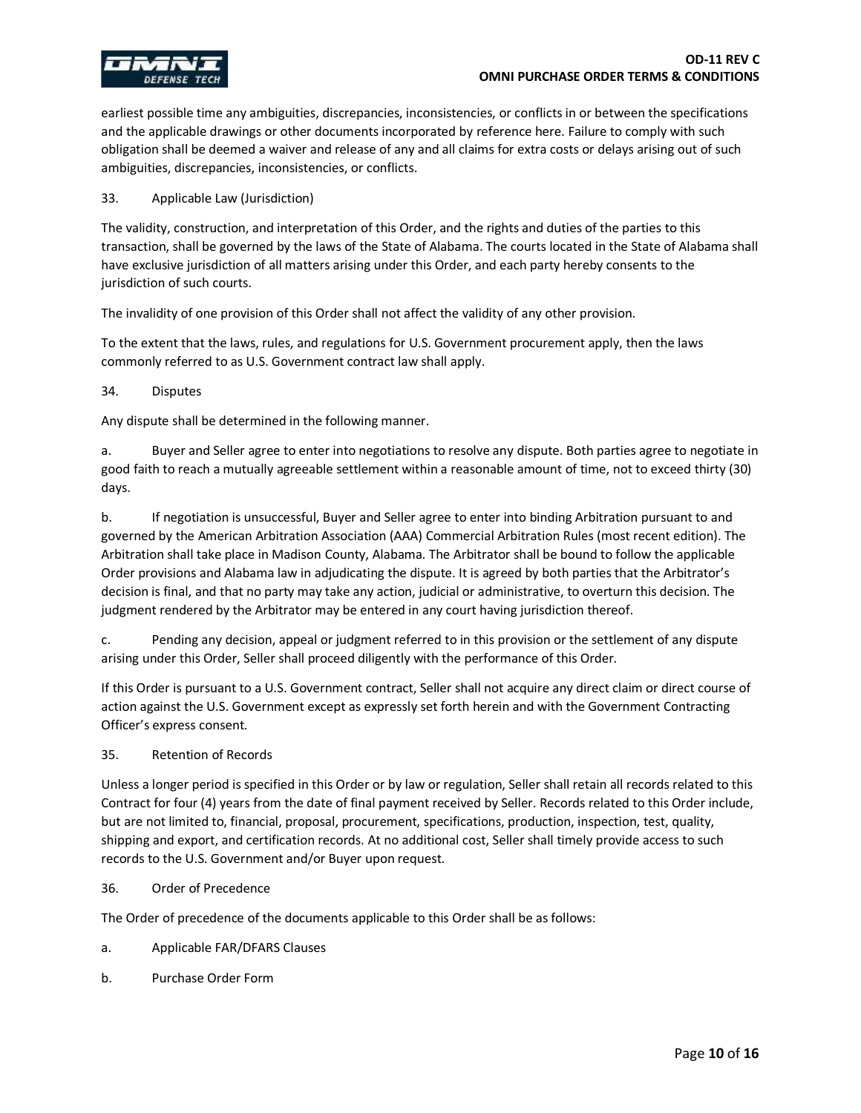

earliest possible time any ambiguities, discrepancies, inconsistencies, or conflicts in or between the specifications and the applicable drawings or other documents incorporated by reference here. Failure to comply with such obligation shall be deemed a waiver and release of any and all claims for extra costs or delays arising out of such ambiguities, discrepancies, inconsistencies, or conflicts.

#### 33. Applicable Law (Jurisdiction)

The validity, construction, and interpretation of this Order, and the rights and duties of the parties to this transaction, shall be governed by the laws of the State of Alabama. The courts located in the State of Alabama shall have exclusive jurisdiction of all matters arising under this Order, and each party hereby consents to the jurisdiction of such courts.

The invalidity of one provision of this Order shall not affect the validity of any other provision.

To the extent that the laws, rules, and regulations for U.S. Government procurement apply, then the laws commonly referred to as U.S. Government contract law shall apply.

#### 34. Disputes

Any dispute shall be determined in the following manner.

a. Buyer and Seller agree to enter into negotiations to resolve any dispute. Both parties agree to negotiate in good faith to reach a mutually agreeable settlement within a reasonable amount of time, not to exceed thirty (30) days.

b. If negotiation is unsuccessful, Buyer and Seller agree to enter into binding Arbitration pursuant to and governed by the American Arbitration Association (AAA) Commercial Arbitration Rules (most recent edition). The Arbitration shall take place in Madison County, Alabama. The Arbitrator shall be bound to follow the applicable Order provisions and Alabama law in adjudicating the dispute. It is agreed by both parties that the Arbitrator's decision is final, and that no party may take any action, judicial or administrative, to overturn this decision. The judgment rendered by the Arbitrator may be entered in any court having jurisdiction thereof.

c. Pending any decision, appeal or judgment referred to in this provision or the settlement of any dispute arising under this Order, Seller shall proceed diligently with the performance of this Order.

If this Order is pursuant to a U.S. Government contract, Seller shall not acquire any direct claim or direct course of action against the U.S. Government except as expressly set forth herein and with the Government Contracting Officer's express consent.

#### 35. Retention of Records

Unless a longer period is specified in this Order or by law or regulation, Seller shall retain all records related to this Contract for four (4) years from the date of final payment received by Seller. Records related to this Order include, but are not limited to, financial, proposal, procurement, specifications, production, inspection, test, quality, shipping and export, and certification records. At no additional cost, Seller shall timely provide access to such records to the U.S. Government and/or Buyer upon request.

#### 36. Order of Precedence

The Order of precedence of the documents applicable to this Order shall be as follows:

- a. Applicable FAR/DFARS Clauses
- b. Purchase Order Form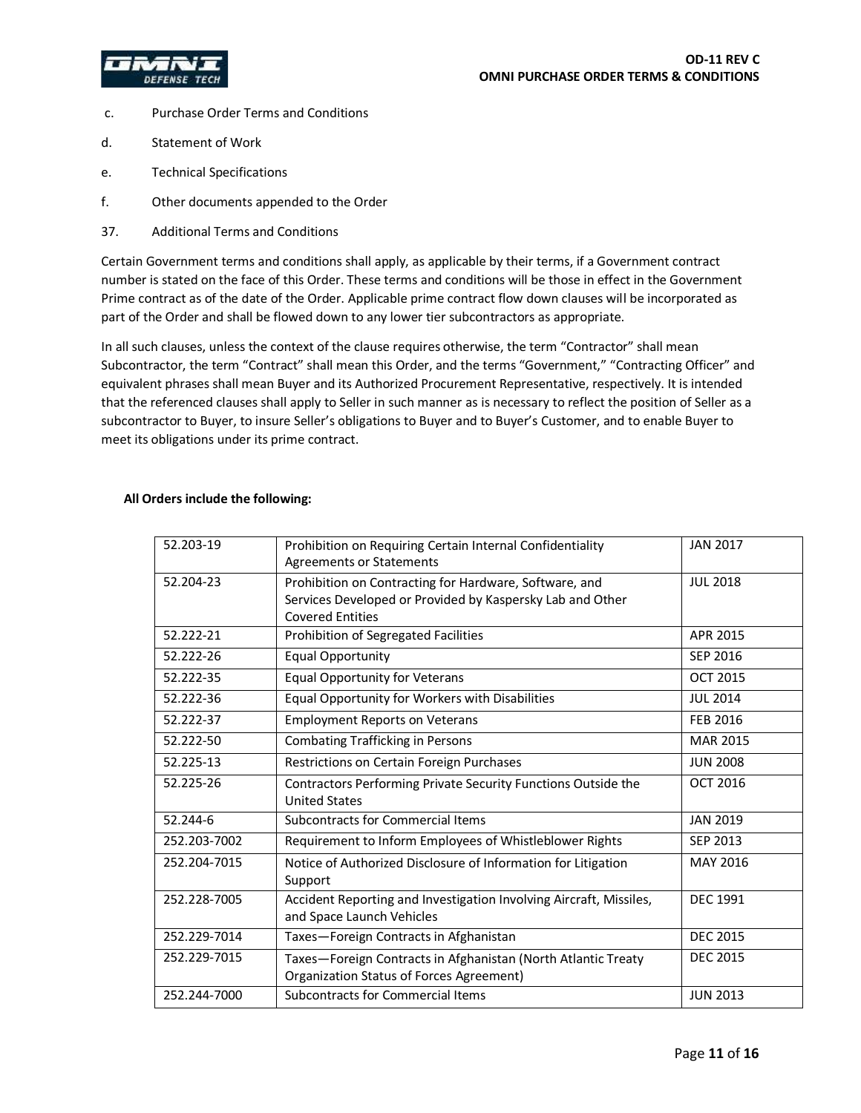



- c. Purchase Order Terms and Conditions
- d. Statement of Work
- e. Technical Specifications
- f. Other documents appended to the Order
- 37. Additional Terms and Conditions

Certain Government terms and conditions shall apply, as applicable by their terms, if a Government contract number is stated on the face of this Order. These terms and conditions will be those in effect in the Government Prime contract as of the date of the Order. Applicable prime contract flow down clauses will be incorporated as part of the Order and shall be flowed down to any lower tier subcontractors as appropriate.

In all such clauses, unless the context of the clause requires otherwise, the term "Contractor" shall mean Subcontractor, the term "Contract" shall mean this Order, and the terms "Government," "Contracting Officer" and equivalent phrases shall mean Buyer and its Authorized Procurement Representative, respectively. It is intended that the referenced clauses shall apply to Seller in such manner as is necessary to reflect the position of Seller as a subcontractor to Buyer, to insure Seller's obligations to Buyer and to Buyer's Customer, and to enable Buyer to meet its obligations under its prime contract.

| 52.203-19    | Prohibition on Requiring Certain Internal Confidentiality<br><b>Agreements or Statements</b>                                                   | <b>JAN 2017</b> |
|--------------|------------------------------------------------------------------------------------------------------------------------------------------------|-----------------|
| 52.204-23    | Prohibition on Contracting for Hardware, Software, and<br>Services Developed or Provided by Kaspersky Lab and Other<br><b>Covered Entities</b> | <b>JUL 2018</b> |
| 52.222-21    | Prohibition of Segregated Facilities                                                                                                           | APR 2015        |
| 52.222-26    | <b>Equal Opportunity</b>                                                                                                                       | SEP 2016        |
| 52.222-35    | <b>Equal Opportunity for Veterans</b>                                                                                                          | <b>OCT 2015</b> |
| 52.222-36    | Equal Opportunity for Workers with Disabilities                                                                                                | <b>JUL 2014</b> |
| 52.222-37    | <b>Employment Reports on Veterans</b>                                                                                                          | <b>FEB 2016</b> |
| 52.222-50    | <b>Combating Trafficking in Persons</b>                                                                                                        | <b>MAR 2015</b> |
| 52.225-13    | Restrictions on Certain Foreign Purchases                                                                                                      | <b>JUN 2008</b> |
| 52.225-26    | Contractors Performing Private Security Functions Outside the<br><b>United States</b>                                                          | <b>OCT 2016</b> |
| 52.244-6     | Subcontracts for Commercial Items                                                                                                              | <b>JAN 2019</b> |
| 252.203-7002 | Requirement to Inform Employees of Whistleblower Rights                                                                                        | SEP 2013        |
| 252.204-7015 | Notice of Authorized Disclosure of Information for Litigation<br>Support                                                                       | MAY 2016        |
| 252.228-7005 | Accident Reporting and Investigation Involving Aircraft, Missiles,<br>and Space Launch Vehicles                                                | <b>DEC 1991</b> |
| 252.229-7014 | Taxes-Foreign Contracts in Afghanistan                                                                                                         | <b>DEC 2015</b> |
| 252.229-7015 | Taxes-Foreign Contracts in Afghanistan (North Atlantic Treaty<br>Organization Status of Forces Agreement)                                      | <b>DEC 2015</b> |
| 252.244-7000 | Subcontracts for Commercial Items                                                                                                              | <b>JUN 2013</b> |

## **All Orders include the following:**

**OD-11 REV C**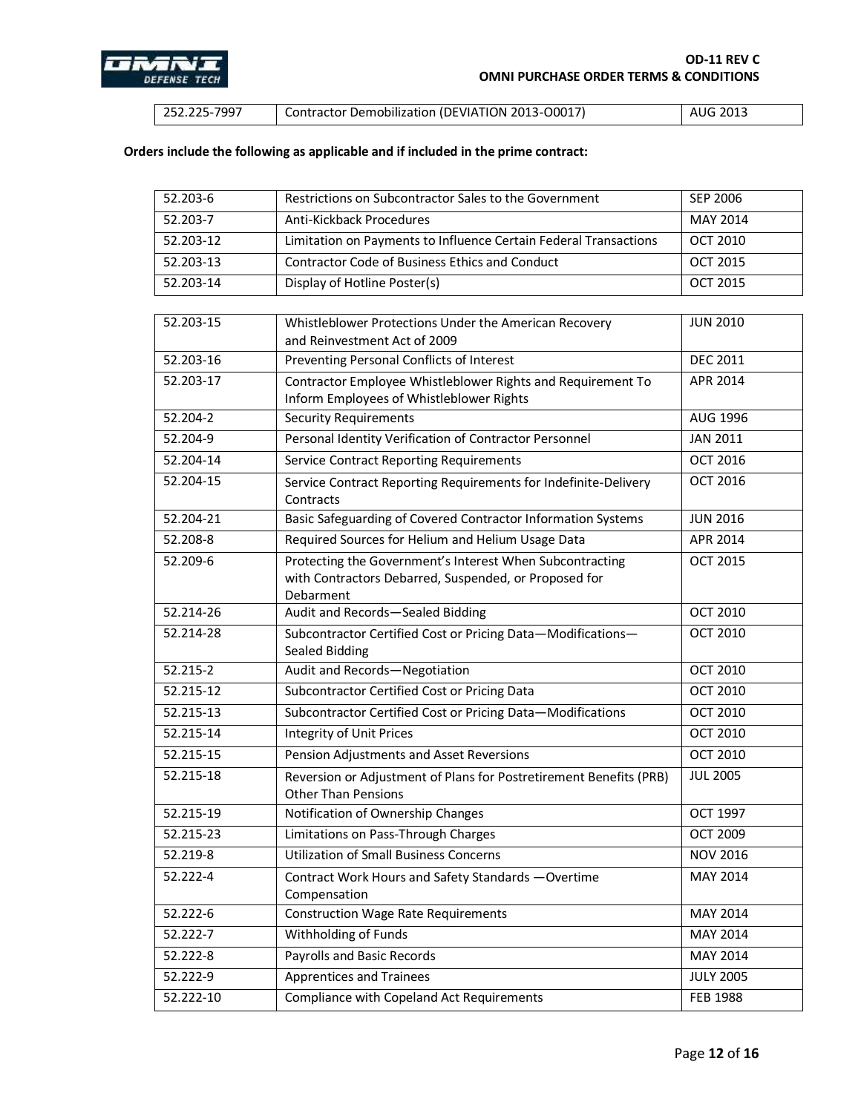

| $1252.225 - 7997$ | Contractor Demobilization (DEVIATION 2013-00017) | 2013<br>AUG |
|-------------------|--------------------------------------------------|-------------|
|-------------------|--------------------------------------------------|-------------|

# **Orders include the following as applicable and if included in the prime contract:**

| 52.203-6      | Restrictions on Subcontractor Sales to the Government                                                                          | <b>SEP 2006</b>  |
|---------------|--------------------------------------------------------------------------------------------------------------------------------|------------------|
| 52.203-7      | Anti-Kickback Procedures                                                                                                       | <b>MAY 2014</b>  |
| 52.203-12     | Limitation on Payments to Influence Certain Federal Transactions                                                               | <b>OCT 2010</b>  |
| 52.203-13     | <b>Contractor Code of Business Ethics and Conduct</b>                                                                          | <b>OCT 2015</b>  |
| 52.203-14     | Display of Hotline Poster(s)                                                                                                   | <b>OCT 2015</b>  |
|               |                                                                                                                                |                  |
| 52.203-15     | Whistleblower Protections Under the American Recovery<br>and Reinvestment Act of 2009                                          | <b>JUN 2010</b>  |
| 52.203-16     | Preventing Personal Conflicts of Interest                                                                                      | <b>DEC 2011</b>  |
| 52.203-17     | Contractor Employee Whistleblower Rights and Requirement To<br>Inform Employees of Whistleblower Rights                        | APR 2014         |
| 52.204-2      | <b>Security Requirements</b>                                                                                                   | AUG 1996         |
| 52.204-9      | Personal Identity Verification of Contractor Personnel                                                                         | <b>JAN 2011</b>  |
| $52.204 - 14$ | <b>Service Contract Reporting Requirements</b>                                                                                 | <b>OCT 2016</b>  |
| 52.204-15     | Service Contract Reporting Requirements for Indefinite-Delivery<br>Contracts                                                   | <b>OCT 2016</b>  |
| 52.204-21     | Basic Safeguarding of Covered Contractor Information Systems                                                                   | <b>JUN 2016</b>  |
| 52.208-8      | Required Sources for Helium and Helium Usage Data                                                                              | APR 2014         |
| 52.209-6      | Protecting the Government's Interest When Subcontracting<br>with Contractors Debarred, Suspended, or Proposed for<br>Debarment | <b>OCT 2015</b>  |
| 52.214-26     | Audit and Records-Sealed Bidding                                                                                               | <b>OCT 2010</b>  |
| 52.214-28     | Subcontractor Certified Cost or Pricing Data-Modifications-<br>Sealed Bidding                                                  | <b>OCT 2010</b>  |
| 52.215-2      | Audit and Records-Negotiation                                                                                                  | <b>OCT 2010</b>  |
| 52.215-12     | Subcontractor Certified Cost or Pricing Data                                                                                   | <b>OCT 2010</b>  |
| 52.215-13     | Subcontractor Certified Cost or Pricing Data-Modifications                                                                     | <b>OCT 2010</b>  |
| 52.215-14     | <b>Integrity of Unit Prices</b>                                                                                                | <b>OCT 2010</b>  |
| 52.215-15     | Pension Adjustments and Asset Reversions                                                                                       | <b>OCT 2010</b>  |
| 52.215-18     | Reversion or Adjustment of Plans for Postretirement Benefits (PRB)<br><b>Other Than Pensions</b>                               | <b>JUL 2005</b>  |
| 52.215-19     | Notification of Ownership Changes                                                                                              | <b>OCT 1997</b>  |
| 52.215-23     | Limitations on Pass-Through Charges                                                                                            | <b>OCT 2009</b>  |
| 52.219-8      | <b>Utilization of Small Business Concerns</b>                                                                                  | <b>NOV 2016</b>  |
| 52.222-4      | Contract Work Hours and Safety Standards - Overtime<br>Compensation                                                            | MAY 2014         |
| 52.222-6      | <b>Construction Wage Rate Requirements</b>                                                                                     | MAY 2014         |
| 52.222-7      | Withholding of Funds                                                                                                           | MAY 2014         |
| 52.222-8      | Payrolls and Basic Records                                                                                                     | MAY 2014         |
| 52.222-9      | <b>Apprentices and Trainees</b>                                                                                                | <b>JULY 2005</b> |
| 52.222-10     | Compliance with Copeland Act Requirements                                                                                      | <b>FEB 1988</b>  |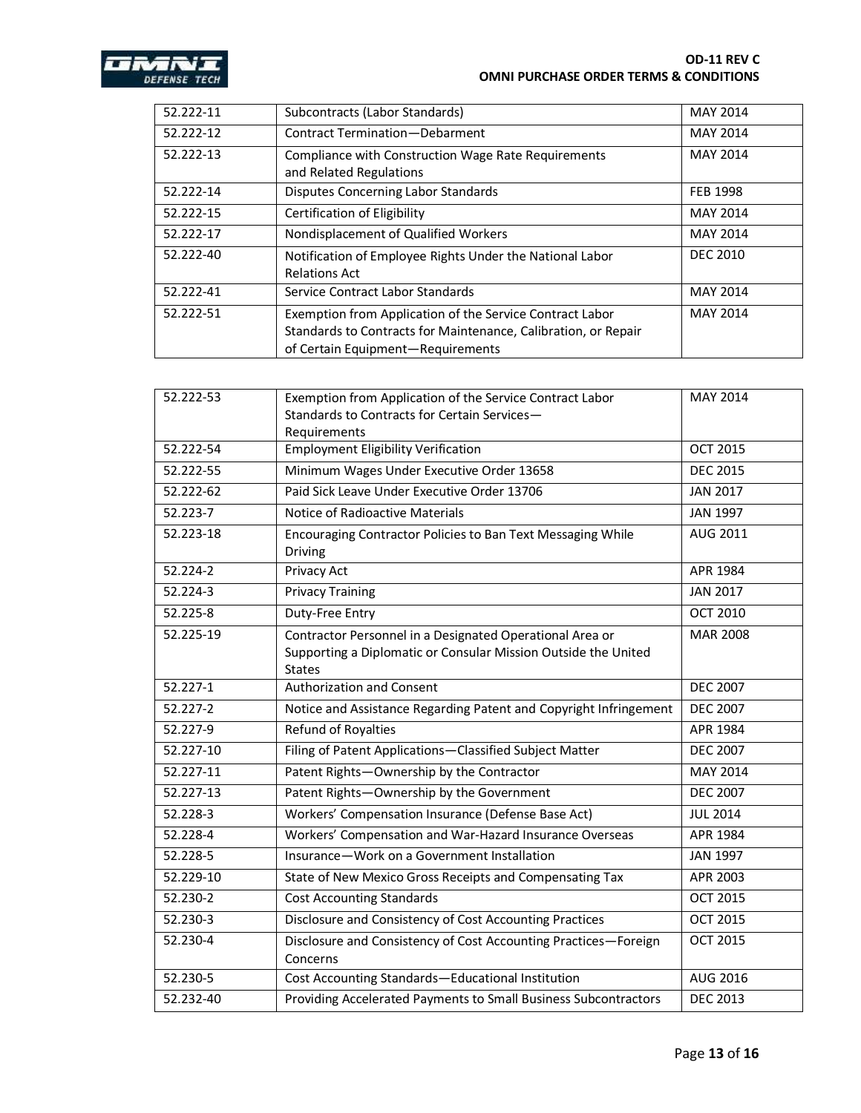

#### **OD-11 REV C OMNI PURCHASE ORDER TERMS & CONDITIONS**

| 52.222-11 | Subcontracts (Labor Standards)                                                                                                                                  | <b>MAY 2014</b> |
|-----------|-----------------------------------------------------------------------------------------------------------------------------------------------------------------|-----------------|
| 52.222-12 | Contract Termination-Debarment                                                                                                                                  | <b>MAY 2014</b> |
| 52.222-13 | Compliance with Construction Wage Rate Requirements<br>and Related Regulations                                                                                  | <b>MAY 2014</b> |
| 52.222-14 | <b>Disputes Concerning Labor Standards</b>                                                                                                                      | <b>FEB 1998</b> |
| 52.222-15 | Certification of Eligibility                                                                                                                                    | <b>MAY 2014</b> |
| 52.222-17 | Nondisplacement of Qualified Workers                                                                                                                            | <b>MAY 2014</b> |
| 52.222-40 | Notification of Employee Rights Under the National Labor<br><b>Relations Act</b>                                                                                | <b>DEC 2010</b> |
| 52.222-41 | Service Contract Labor Standards                                                                                                                                | <b>MAY 2014</b> |
| 52.222-51 | Exemption from Application of the Service Contract Labor<br>Standards to Contracts for Maintenance, Calibration, or Repair<br>of Certain Equipment-Requirements | <b>MAY 2014</b> |

| 52.222-53 | Exemption from Application of the Service Contract Labor                                                                                    | MAY 2014        |
|-----------|---------------------------------------------------------------------------------------------------------------------------------------------|-----------------|
|           | Standards to Contracts for Certain Services-                                                                                                |                 |
| 52.222-54 | Requirements<br><b>Employment Eligibility Verification</b>                                                                                  | <b>OCT 2015</b> |
|           |                                                                                                                                             |                 |
| 52.222-55 | Minimum Wages Under Executive Order 13658                                                                                                   | <b>DEC 2015</b> |
| 52.222-62 | Paid Sick Leave Under Executive Order 13706                                                                                                 | <b>JAN 2017</b> |
| 52.223-7  | Notice of Radioactive Materials                                                                                                             | <b>JAN 1997</b> |
| 52.223-18 | Encouraging Contractor Policies to Ban Text Messaging While<br>Driving                                                                      | AUG 2011        |
| 52.224-2  | Privacy Act                                                                                                                                 | APR 1984        |
| 52.224-3  | <b>Privacy Training</b>                                                                                                                     | <b>JAN 2017</b> |
| 52.225-8  | Duty-Free Entry                                                                                                                             | <b>OCT 2010</b> |
| 52.225-19 | Contractor Personnel in a Designated Operational Area or<br>Supporting a Diplomatic or Consular Mission Outside the United<br><b>States</b> | <b>MAR 2008</b> |
| 52.227-1  | <b>Authorization and Consent</b>                                                                                                            | <b>DEC 2007</b> |
| 52.227-2  | Notice and Assistance Regarding Patent and Copyright Infringement                                                                           | <b>DEC 2007</b> |
| 52.227-9  | Refund of Royalties                                                                                                                         | APR 1984        |
| 52.227-10 | Filing of Patent Applications-Classified Subject Matter                                                                                     | <b>DEC 2007</b> |
| 52.227-11 | Patent Rights-Ownership by the Contractor                                                                                                   | MAY 2014        |
| 52.227-13 | Patent Rights-Ownership by the Government                                                                                                   | <b>DEC 2007</b> |
| 52.228-3  | Workers' Compensation Insurance (Defense Base Act)                                                                                          | <b>JUL 2014</b> |
| 52.228-4  | Workers' Compensation and War-Hazard Insurance Overseas                                                                                     | APR 1984        |
| 52.228-5  | Insurance-Work on a Government Installation                                                                                                 | <b>JAN 1997</b> |
| 52.229-10 | State of New Mexico Gross Receipts and Compensating Tax                                                                                     | APR 2003        |
| 52.230-2  | <b>Cost Accounting Standards</b>                                                                                                            | <b>OCT 2015</b> |
| 52.230-3  | Disclosure and Consistency of Cost Accounting Practices                                                                                     | <b>OCT 2015</b> |
| 52.230-4  | Disclosure and Consistency of Cost Accounting Practices-Foreign<br>Concerns                                                                 | <b>OCT 2015</b> |
| 52.230-5  | Cost Accounting Standards-Educational Institution                                                                                           | AUG 2016        |
| 52.232-40 | Providing Accelerated Payments to Small Business Subcontractors                                                                             | <b>DEC 2013</b> |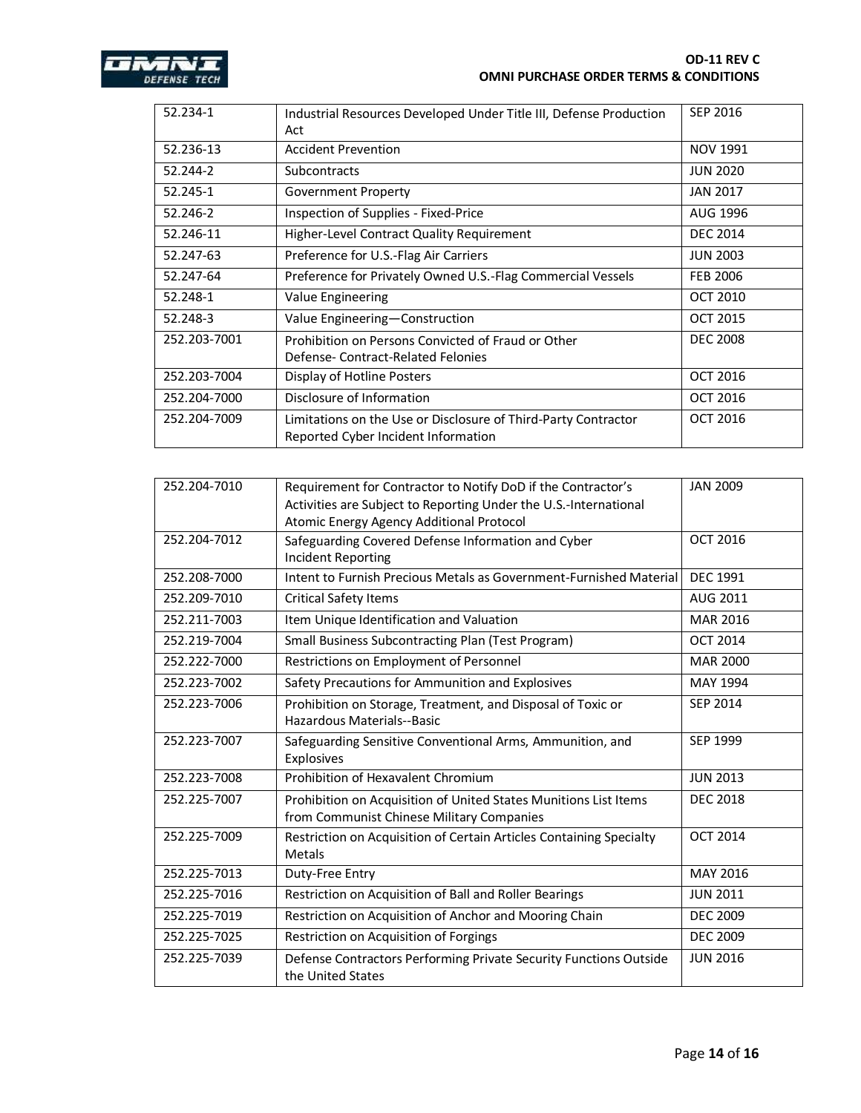

| 52.234-1     | Industrial Resources Developed Under Title III, Defense Production<br>Act                             | <b>SEP 2016</b> |
|--------------|-------------------------------------------------------------------------------------------------------|-----------------|
| 52.236-13    | <b>Accident Prevention</b>                                                                            | <b>NOV 1991</b> |
| 52.244-2     | <b>Subcontracts</b>                                                                                   | <b>JUN 2020</b> |
| 52.245-1     | <b>Government Property</b>                                                                            | <b>JAN 2017</b> |
| 52.246-2     | Inspection of Supplies - Fixed-Price                                                                  | AUG 1996        |
| 52.246-11    | Higher-Level Contract Quality Requirement                                                             | <b>DEC 2014</b> |
| 52.247-63    | Preference for U.S.-Flag Air Carriers                                                                 | <b>JUN 2003</b> |
| 52.247-64    | Preference for Privately Owned U.S.-Flag Commercial Vessels                                           | <b>FEB 2006</b> |
| 52.248-1     | Value Engineering                                                                                     | <b>OCT 2010</b> |
| 52.248-3     | Value Engineering-Construction                                                                        | <b>OCT 2015</b> |
| 252.203-7001 | Prohibition on Persons Convicted of Fraud or Other<br>Defense-Contract-Related Felonies               | <b>DEC 2008</b> |
| 252.203-7004 | Display of Hotline Posters                                                                            | <b>OCT 2016</b> |
| 252.204-7000 | Disclosure of Information                                                                             | <b>OCT 2016</b> |
| 252.204-7009 | Limitations on the Use or Disclosure of Third-Party Contractor<br>Reported Cyber Incident Information | <b>OCT 2016</b> |

| 252.204-7010 | Requirement for Contractor to Notify DoD if the Contractor's<br>Activities are Subject to Reporting Under the U.S.-International | <b>JAN 2009</b> |
|--------------|----------------------------------------------------------------------------------------------------------------------------------|-----------------|
|              | Atomic Energy Agency Additional Protocol                                                                                         |                 |
| 252.204-7012 | Safeguarding Covered Defense Information and Cyber                                                                               | <b>OCT 2016</b> |
|              | <b>Incident Reporting</b>                                                                                                        |                 |
| 252.208-7000 | Intent to Furnish Precious Metals as Government-Furnished Material                                                               | <b>DEC 1991</b> |
| 252.209-7010 | <b>Critical Safety Items</b>                                                                                                     | AUG 2011        |
| 252.211-7003 | Item Unique Identification and Valuation                                                                                         | <b>MAR 2016</b> |
| 252.219-7004 | Small Business Subcontracting Plan (Test Program)                                                                                | <b>OCT 2014</b> |
| 252.222-7000 | Restrictions on Employment of Personnel                                                                                          | <b>MAR 2000</b> |
| 252.223-7002 | Safety Precautions for Ammunition and Explosives                                                                                 | MAY 1994        |
| 252.223-7006 | Prohibition on Storage, Treatment, and Disposal of Toxic or                                                                      | SEP 2014        |
|              | Hazardous Materials--Basic                                                                                                       |                 |
| 252.223-7007 | Safeguarding Sensitive Conventional Arms, Ammunition, and<br>Explosives                                                          | SEP 1999        |
| 252.223-7008 | Prohibition of Hexavalent Chromium                                                                                               | <b>JUN 2013</b> |
| 252.225-7007 | Prohibition on Acquisition of United States Munitions List Items                                                                 | <b>DEC 2018</b> |
|              | from Communist Chinese Military Companies                                                                                        |                 |
| 252.225-7009 | Restriction on Acquisition of Certain Articles Containing Specialty<br>Metals                                                    | <b>OCT 2014</b> |
| 252.225-7013 | Duty-Free Entry                                                                                                                  | MAY 2016        |
| 252.225-7016 | Restriction on Acquisition of Ball and Roller Bearings                                                                           | <b>JUN 2011</b> |
| 252.225-7019 | Restriction on Acquisition of Anchor and Mooring Chain                                                                           | <b>DEC 2009</b> |
| 252.225-7025 | Restriction on Acquisition of Forgings                                                                                           | <b>DEC 2009</b> |
| 252.225-7039 | Defense Contractors Performing Private Security Functions Outside<br>the United States                                           | <b>JUN 2016</b> |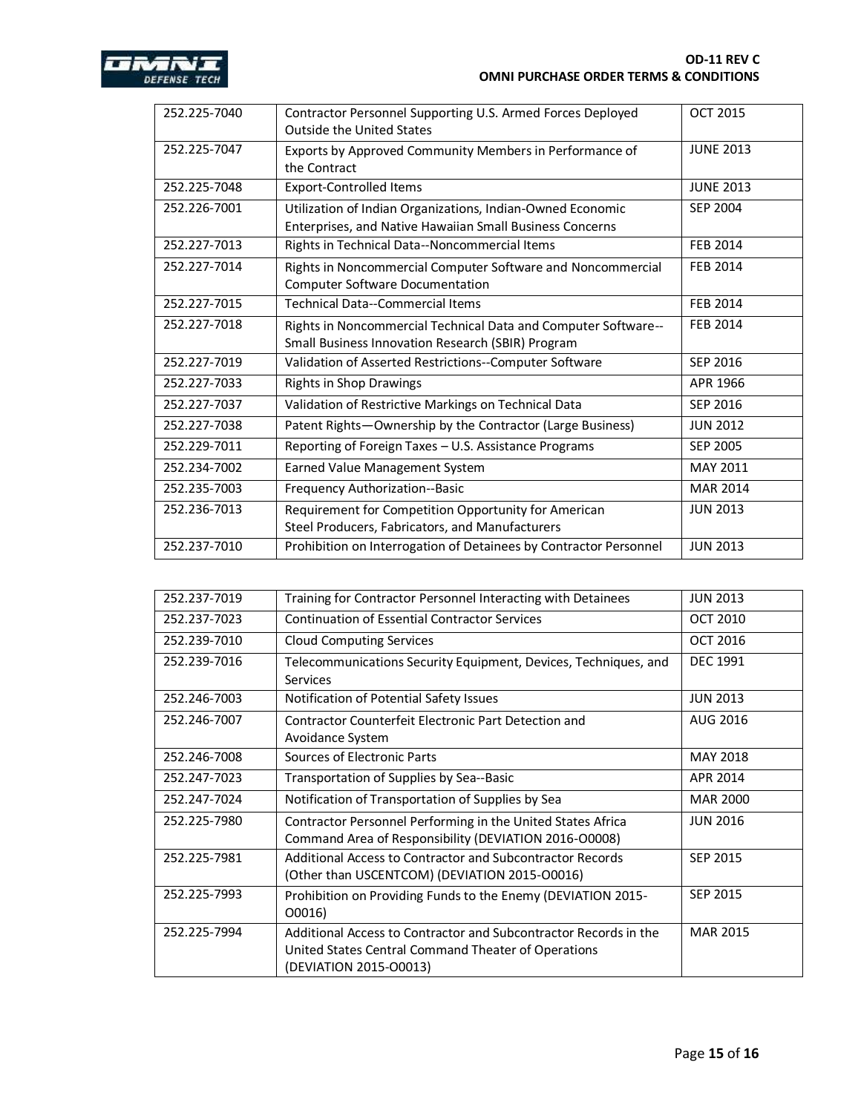

| 252.225-7040 | Contractor Personnel Supporting U.S. Armed Forces Deployed        | <b>OCT 2015</b>  |
|--------------|-------------------------------------------------------------------|------------------|
|              | <b>Outside the United States</b>                                  |                  |
| 252.225-7047 | Exports by Approved Community Members in Performance of           | <b>JUNE 2013</b> |
|              | the Contract                                                      |                  |
| 252.225-7048 | <b>Export-Controlled Items</b>                                    | <b>JUNE 2013</b> |
| 252.226-7001 | Utilization of Indian Organizations, Indian-Owned Economic        | SEP 2004         |
|              | Enterprises, and Native Hawaiian Small Business Concerns          |                  |
| 252.227-7013 | Rights in Technical Data--Noncommercial Items                     | <b>FEB 2014</b>  |
| 252.227-7014 | Rights in Noncommercial Computer Software and Noncommercial       | <b>FEB 2014</b>  |
|              | <b>Computer Software Documentation</b>                            |                  |
| 252.227-7015 | <b>Technical Data--Commercial Items</b>                           | <b>FEB 2014</b>  |
| 252.227-7018 | Rights in Noncommercial Technical Data and Computer Software--    | FEB 2014         |
|              | Small Business Innovation Research (SBIR) Program                 |                  |
| 252.227-7019 | Validation of Asserted Restrictions--Computer Software            | SEP 2016         |
| 252.227-7033 | <b>Rights in Shop Drawings</b>                                    | APR 1966         |
| 252.227-7037 | Validation of Restrictive Markings on Technical Data              | SEP 2016         |
| 252.227-7038 | Patent Rights-Ownership by the Contractor (Large Business)        | <b>JUN 2012</b>  |
| 252.229-7011 | Reporting of Foreign Taxes - U.S. Assistance Programs             | <b>SEP 2005</b>  |
| 252.234-7002 | Earned Value Management System                                    | MAY 2011         |
| 252.235-7003 | Frequency Authorization--Basic                                    | <b>MAR 2014</b>  |
| 252.236-7013 | Requirement for Competition Opportunity for American              | <b>JUN 2013</b>  |
|              | Steel Producers, Fabricators, and Manufacturers                   |                  |
| 252.237-7010 | Prohibition on Interrogation of Detainees by Contractor Personnel | <b>JUN 2013</b>  |

| 252.237-7019 | Training for Contractor Personnel Interacting with Detainees                                                                                      | <b>JUN 2013</b> |
|--------------|---------------------------------------------------------------------------------------------------------------------------------------------------|-----------------|
| 252.237-7023 | <b>Continuation of Essential Contractor Services</b>                                                                                              | <b>OCT 2010</b> |
| 252.239-7010 | <b>Cloud Computing Services</b>                                                                                                                   | <b>OCT 2016</b> |
| 252.239-7016 | Telecommunications Security Equipment, Devices, Techniques, and<br>Services                                                                       | <b>DEC 1991</b> |
| 252.246-7003 | Notification of Potential Safety Issues                                                                                                           | <b>JUN 2013</b> |
| 252.246-7007 | Contractor Counterfeit Electronic Part Detection and<br>Avoidance System                                                                          | AUG 2016        |
| 252.246-7008 | Sources of Electronic Parts                                                                                                                       | MAY 2018        |
| 252.247-7023 | Transportation of Supplies by Sea--Basic                                                                                                          | APR 2014        |
| 252.247-7024 | Notification of Transportation of Supplies by Sea                                                                                                 | <b>MAR 2000</b> |
| 252.225-7980 | Contractor Personnel Performing in the United States Africa<br>Command Area of Responsibility (DEVIATION 2016-O0008)                              | <b>JUN 2016</b> |
| 252.225-7981 | Additional Access to Contractor and Subcontractor Records<br>(Other than USCENTCOM) (DEVIATION 2015-00016)                                        | <b>SEP 2015</b> |
| 252.225-7993 | Prohibition on Providing Funds to the Enemy (DEVIATION 2015-<br>O0016)                                                                            | <b>SEP 2015</b> |
| 252.225-7994 | Additional Access to Contractor and Subcontractor Records in the<br>United States Central Command Theater of Operations<br>(DEVIATION 2015-O0013) | <b>MAR 2015</b> |